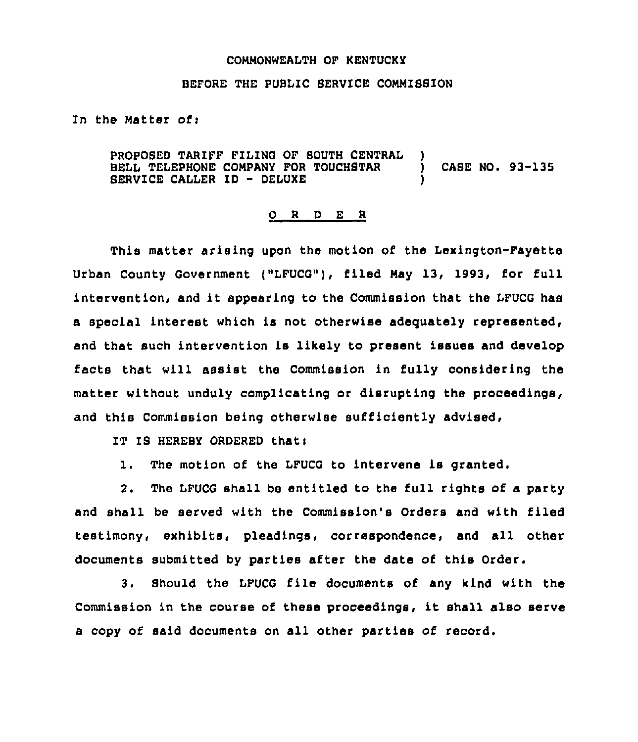## COMMONWEALTH OF KENTUCKY

## BEFORE THE PUBLIC SERVICE COMMISSION

In the Matter of:

PROPOSED TARIFF FILING OF SOUTH CENTRAL )<br>BELL TELEPHONE COMPANY FOR TOUCHSTAR ) BELL TELEPHONE COMPANY FOR TOUCHSTAR ) CASE NO. 93-135 SERVICE CALLER ID — DELUXE )

## 0 <sup>R</sup> <sup>D</sup> E <sup>R</sup>

This matter arising upon the motion of the Lexington-Fayette Urban County Government ("LFUCG"), filed May 13, 1993, for full intervention, and it appearing to the Commission that the LFUCG has a special interest which is not otherwise adequately represented, and that such intervention is likely to present issues and develop facts that will assist the Commission in fully considering the matter without unduly complicating or disrupting the proceedings, and this Commission being otherwise sufficiently advised,

IT IS HEREBY ORDERED that:

1. The motion of the LFUCG to intervene is granted.

2. The LFUCG shall be entitled to the full rights of a party and shall be served with the Commission's Orders and with filed testimony, exhibits, pleadings, correspondence, and all other documents submitted by parties after the date of this Order.

3. Should the LFUCG file documents of any kind with the Commission in the course of these proceedings, it shall also serve a copy of said documents on all other parties of record.